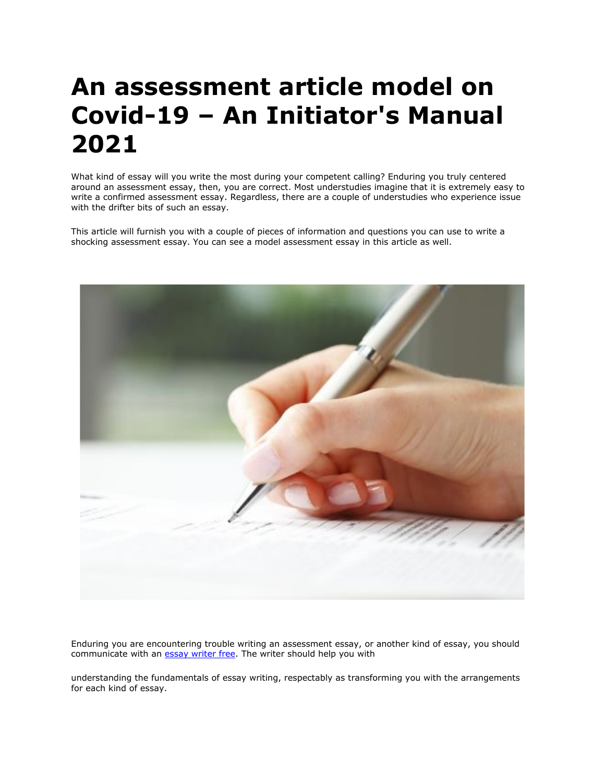# **An assessment article model on Covid-19 – An Initiator's Manual 2021**

What kind of essay will you write the most during your competent calling? Enduring you truly centered around an assessment essay, then, you are correct. Most understudies imagine that it is extremely easy to write a confirmed assessment essay. Regardless, there are a couple of understudies who experience issue with the drifter bits of such an essay.

This article will furnish you with a couple of pieces of information and questions you can use to write a shocking assessment essay. You can see a model assessment essay in this article as well.



Enduring you are encountering trouble writing an assessment essay, or another kind of essay, you should communicate with an [essay writer free.](https://youressaywriter.net/) The writer should help you with

understanding the fundamentals of essay writing, respectably as transforming you with the arrangements for each kind of essay.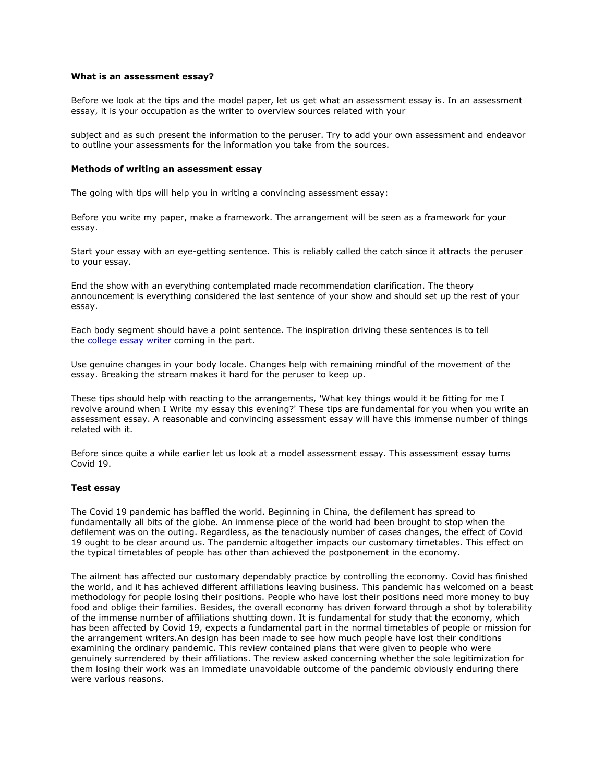#### **What is an assessment essay?**

Before we look at the tips and the model paper, let us get what an assessment essay is. In an assessment essay, it is your occupation as the writer to overview sources related with your

subject and as such present the information to the peruser. Try to add your own assessment and endeavor to outline your assessments for the information you take from the sources.

#### **Methods of writing an assessment essay**

The going with tips will help you in writing a convincing assessment essay:

Before you write my paper, make a framework. The arrangement will be seen as a framework for your essay.

Start your essay with an eye-getting sentence. This is reliably called the catch since it attracts the peruser to your essay.

End the show with an everything contemplated made recommendation clarification. The theory announcement is everything considered the last sentence of your show and should set up the rest of your essay.

Each body segment should have a point sentence. The inspiration driving these sentences is to tell the [college essay writer](https://essaywriternow.com/) coming in the part.

Use genuine changes in your body locale. Changes help with remaining mindful of the movement of the essay. Breaking the stream makes it hard for the peruser to keep up.

These tips should help with reacting to the arrangements, 'What key things would it be fitting for me I revolve around when I Write my essay this evening?' These tips are fundamental for you when you write an assessment essay. A reasonable and convincing assessment essay will have this immense number of things related with it.

Before since quite a while earlier let us look at a model assessment essay. This assessment essay turns Covid 19.

#### **Test essay**

The Covid 19 pandemic has baffled the world. Beginning in China, the defilement has spread to fundamentally all bits of the globe. An immense piece of the world had been brought to stop when the defilement was on the outing. Regardless, as the tenaciously number of cases changes, the effect of Covid 19 ought to be clear around us. The pandemic altogether impacts our customary timetables. This effect on the typical timetables of people has other than achieved the postponement in the economy.

The ailment has affected our customary dependably practice by controlling the economy. Covid has finished the world, and it has achieved different affiliations leaving business. This pandemic has welcomed on a beast methodology for people losing their positions. People who have lost their positions need more money to buy food and oblige their families. Besides, the overall economy has driven forward through a shot by tolerability of the immense number of affiliations shutting down. It is fundamental for study that the economy, which has been affected by Covid 19, expects a fundamental part in the normal timetables of people or mission for the arrangement writers.An design has been made to see how much people have lost their conditions examining the ordinary pandemic. This review contained plans that were given to people who were genuinely surrendered by their affiliations. The review asked concerning whether the sole legitimization for them losing their work was an immediate unavoidable outcome of the pandemic obviously enduring there were various reasons.